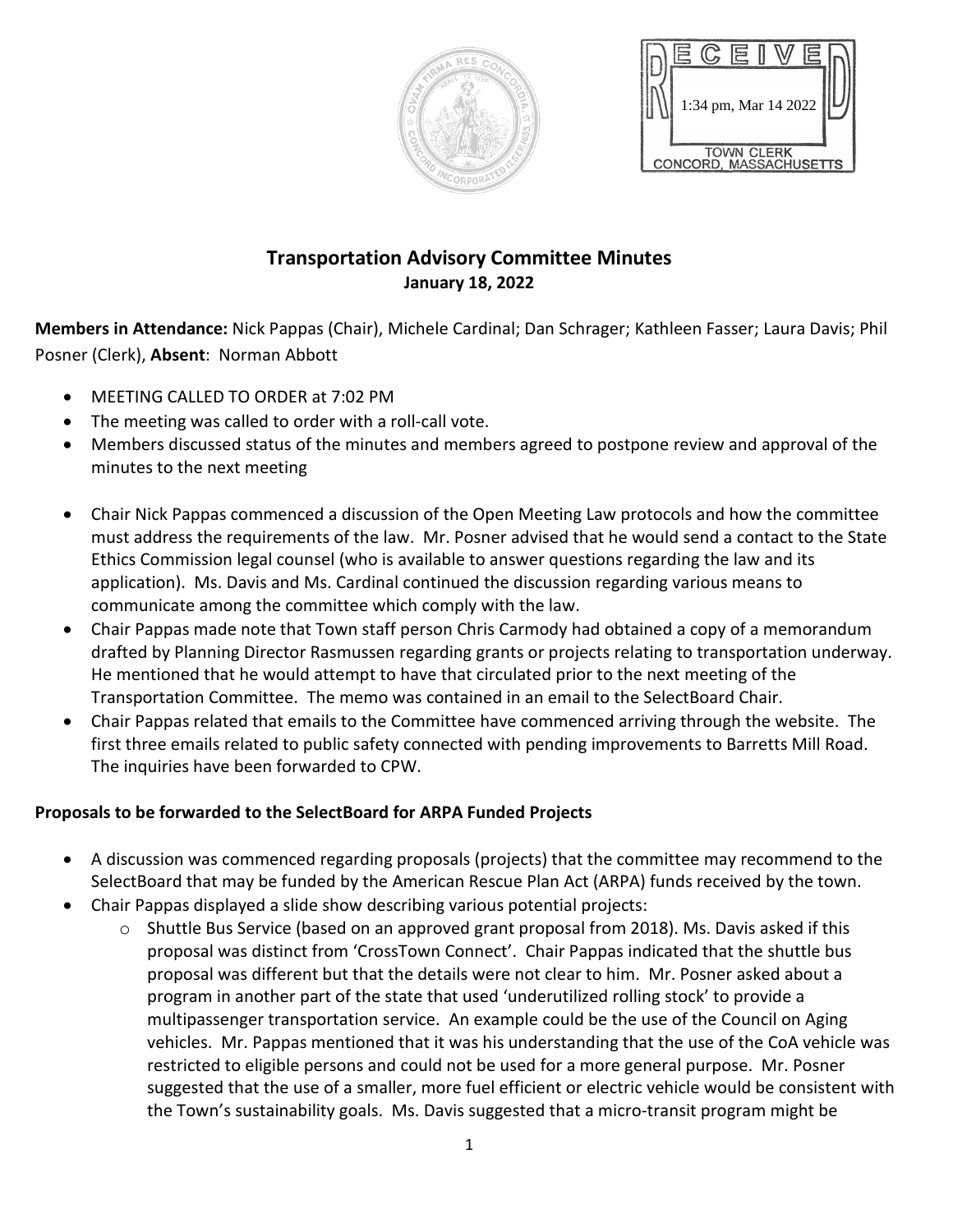



## **Transportation Advisory Committee Minutes January 18, 2022**

**Members in Attendance:** Nick Pappas (Chair), Michele Cardinal; Dan Schrager; Kathleen Fasser; Laura Davis; Phil Posner (Clerk), **Absent**: Norman Abbott

- MEETING CALLED TO ORDER at 7:02 PM
- The meeting was called to order with a roll-call vote.
- Members discussed status of the minutes and members agreed to postpone review and approval of the minutes to the next meeting
- Chair Nick Pappas commenced a discussion of the Open Meeting Law protocols and how the committee must address the requirements of the law. Mr. Posner advised that he would send a contact to the State Ethics Commission legal counsel (who is available to answer questions regarding the law and its application). Ms. Davis and Ms. Cardinal continued the discussion regarding various means to communicate among the committee which comply with the law.
- Chair Pappas made note that Town staff person Chris Carmody had obtained a copy of a memorandum drafted by Planning Director Rasmussen regarding grants or projects relating to transportation underway. He mentioned that he would attempt to have that circulated prior to the next meeting of the Transportation Committee. The memo was contained in an email to the SelectBoard Chair.
- Chair Pappas related that emails to the Committee have commenced arriving through the website. The first three emails related to public safety connected with pending improvements to Barretts Mill Road. The inquiries have been forwarded to CPW.

## **Proposals to be forwarded to the SelectBoard for ARPA Funded Projects**

- A discussion was commenced regarding proposals (projects) that the committee may recommend to the SelectBoard that may be funded by the American Rescue Plan Act (ARPA) funds received by the town.
- Chair Pappas displayed a slide show describing various potential projects:
	- $\circ$  Shuttle Bus Service (based on an approved grant proposal from 2018). Ms. Davis asked if this proposal was distinct from 'CrossTown Connect'. Chair Pappas indicated that the shuttle bus proposal was different but that the details were not clear to him. Mr. Posner asked about a program in another part of the state that used 'underutilized rolling stock' to provide a multipassenger transportation service. An example could be the use of the Council on Aging vehicles. Mr. Pappas mentioned that it was his understanding that the use of the CoA vehicle was restricted to eligible persons and could not be used for a more general purpose. Mr. Posner suggested that the use of a smaller, more fuel efficient or electric vehicle would be consistent with the Town's sustainability goals. Ms. Davis suggested that a micro-transit program might be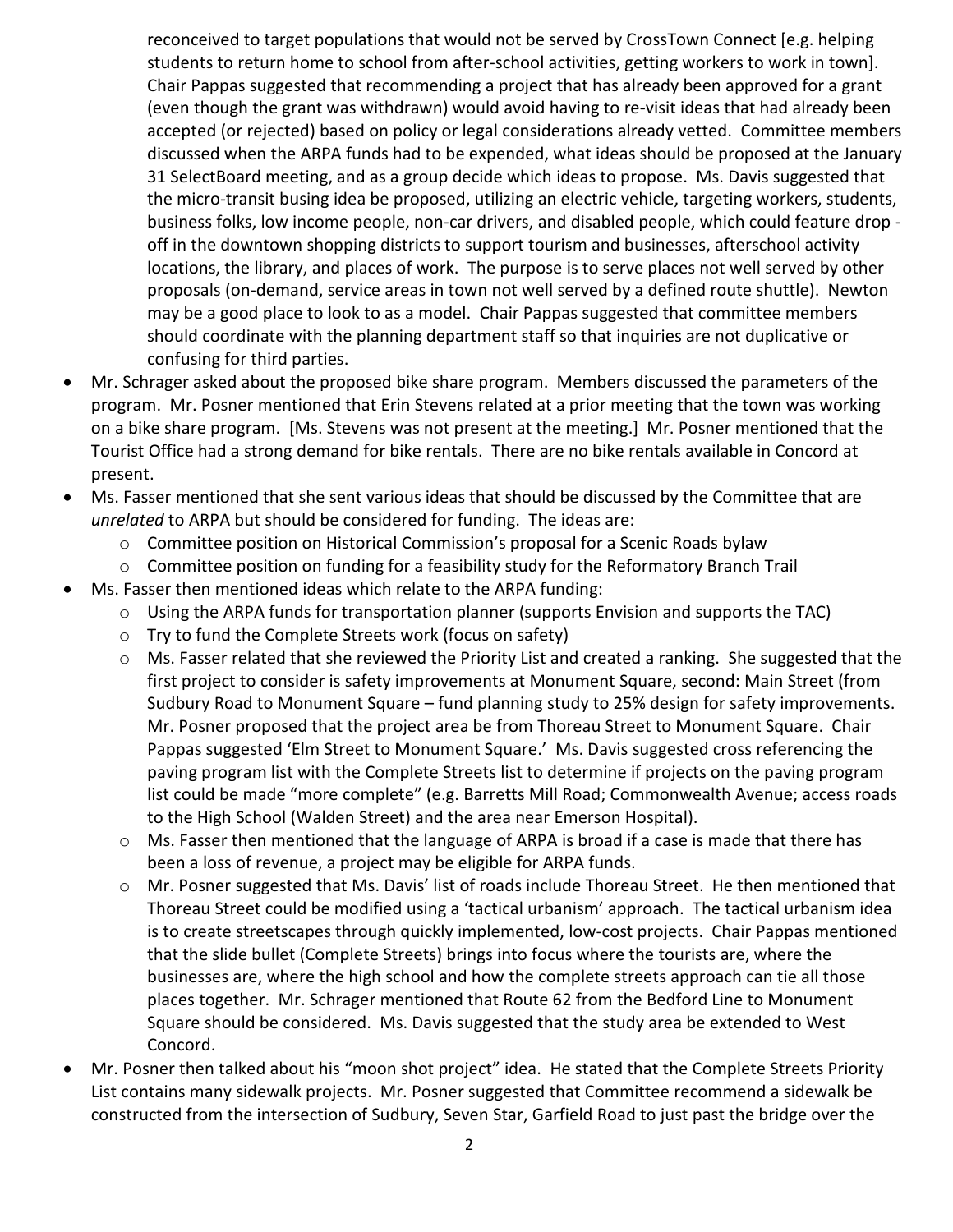reconceived to target populations that would not be served by CrossTown Connect [e.g. helping students to return home to school from after-school activities, getting workers to work in town]. Chair Pappas suggested that recommending a project that has already been approved for a grant (even though the grant was withdrawn) would avoid having to re-visit ideas that had already been accepted (or rejected) based on policy or legal considerations already vetted. Committee members discussed when the ARPA funds had to be expended, what ideas should be proposed at the January 31 SelectBoard meeting, and as a group decide which ideas to propose. Ms. Davis suggested that the micro-transit busing idea be proposed, utilizing an electric vehicle, targeting workers, students, business folks, low income people, non-car drivers, and disabled people, which could feature drop off in the downtown shopping districts to support tourism and businesses, afterschool activity locations, the library, and places of work. The purpose is to serve places not well served by other proposals (on-demand, service areas in town not well served by a defined route shuttle). Newton may be a good place to look to as a model. Chair Pappas suggested that committee members should coordinate with the planning department staff so that inquiries are not duplicative or confusing for third parties.

- Mr. Schrager asked about the proposed bike share program. Members discussed the parameters of the program. Mr. Posner mentioned that Erin Stevens related at a prior meeting that the town was working on a bike share program. [Ms. Stevens was not present at the meeting.] Mr. Posner mentioned that the Tourist Office had a strong demand for bike rentals. There are no bike rentals available in Concord at present.
- Ms. Fasser mentioned that she sent various ideas that should be discussed by the Committee that are *unrelated* to ARPA but should be considered for funding. The ideas are:
	- o Committee position on Historical Commission's proposal for a Scenic Roads bylaw
	- o Committee position on funding for a feasibility study for the Reformatory Branch Trail
- Ms. Fasser then mentioned ideas which relate to the ARPA funding:
	- o Using the ARPA funds for transportation planner (supports Envision and supports the TAC)
	- o Try to fund the Complete Streets work (focus on safety)
	- o Ms. Fasser related that she reviewed the Priority List and created a ranking. She suggested that the first project to consider is safety improvements at Monument Square, second: Main Street (from Sudbury Road to Monument Square – fund planning study to 25% design for safety improvements. Mr. Posner proposed that the project area be from Thoreau Street to Monument Square. Chair Pappas suggested 'Elm Street to Monument Square.' Ms. Davis suggested cross referencing the paving program list with the Complete Streets list to determine if projects on the paving program list could be made "more complete" (e.g. Barretts Mill Road; Commonwealth Avenue; access roads to the High School (Walden Street) and the area near Emerson Hospital).
	- o Ms. Fasser then mentioned that the language of ARPA is broad if a case is made that there has been a loss of revenue, a project may be eligible for ARPA funds.
	- o Mr. Posner suggested that Ms. Davis' list of roads include Thoreau Street. He then mentioned that Thoreau Street could be modified using a 'tactical urbanism' approach. The tactical urbanism idea is to create streetscapes through quickly implemented, low-cost projects. Chair Pappas mentioned that the slide bullet (Complete Streets) brings into focus where the tourists are, where the businesses are, where the high school and how the complete streets approach can tie all those places together. Mr. Schrager mentioned that Route 62 from the Bedford Line to Monument Square should be considered. Ms. Davis suggested that the study area be extended to West Concord.
- Mr. Posner then talked about his "moon shot project" idea. He stated that the Complete Streets Priority List contains many sidewalk projects. Mr. Posner suggested that Committee recommend a sidewalk be constructed from the intersection of Sudbury, Seven Star, Garfield Road to just past the bridge over the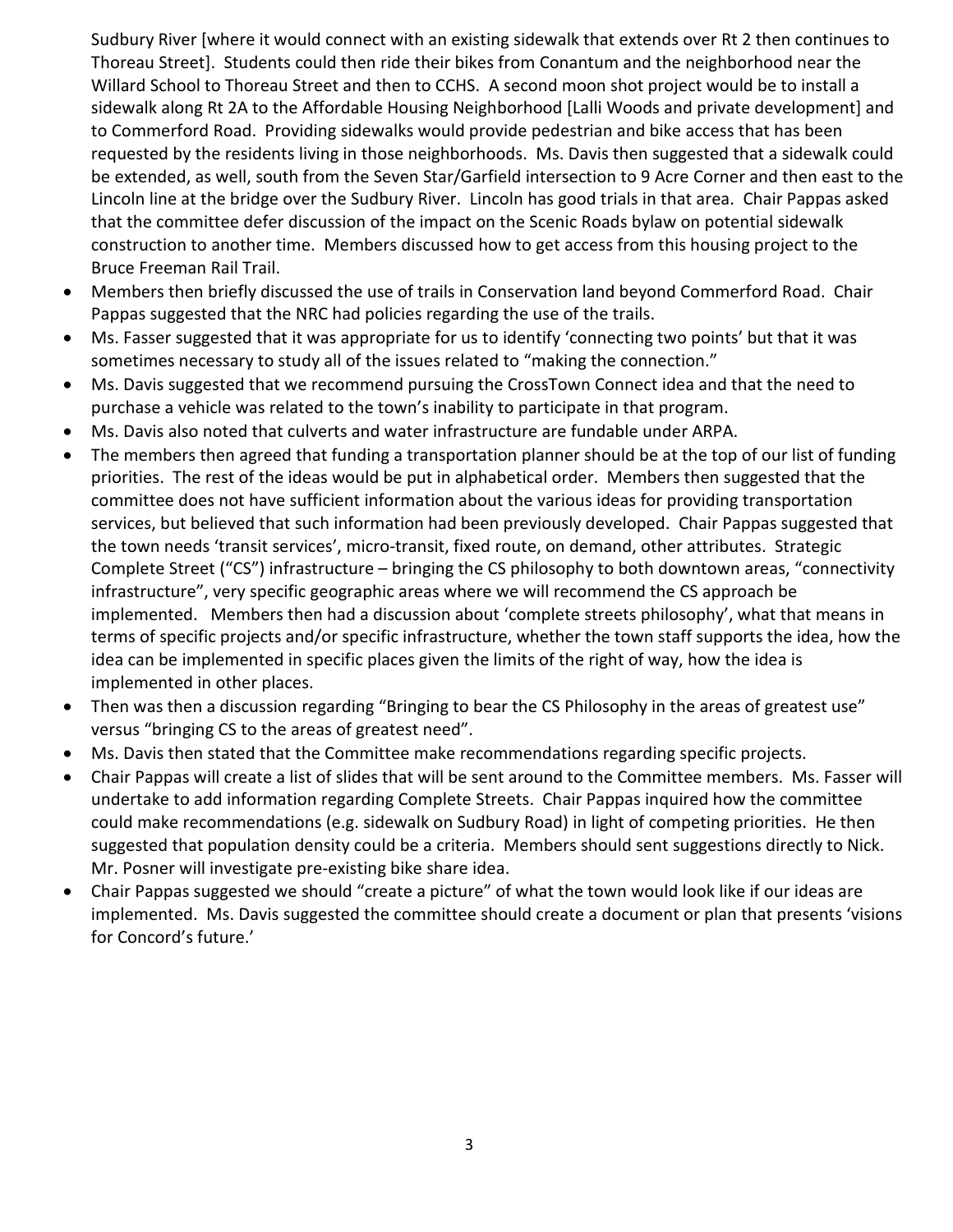Sudbury River [where it would connect with an existing sidewalk that extends over Rt 2 then continues to Thoreau Street]. Students could then ride their bikes from Conantum and the neighborhood near the Willard School to Thoreau Street and then to CCHS. A second moon shot project would be to install a sidewalk along Rt 2A to the Affordable Housing Neighborhood [Lalli Woods and private development] and to Commerford Road. Providing sidewalks would provide pedestrian and bike access that has been requested by the residents living in those neighborhoods. Ms. Davis then suggested that a sidewalk could be extended, as well, south from the Seven Star/Garfield intersection to 9 Acre Corner and then east to the Lincoln line at the bridge over the Sudbury River. Lincoln has good trials in that area. Chair Pappas asked that the committee defer discussion of the impact on the Scenic Roads bylaw on potential sidewalk construction to another time. Members discussed how to get access from this housing project to the Bruce Freeman Rail Trail.

- Members then briefly discussed the use of trails in Conservation land beyond Commerford Road. Chair Pappas suggested that the NRC had policies regarding the use of the trails.
- Ms. Fasser suggested that it was appropriate for us to identify 'connecting two points' but that it was sometimes necessary to study all of the issues related to "making the connection."
- Ms. Davis suggested that we recommend pursuing the CrossTown Connect idea and that the need to purchase a vehicle was related to the town's inability to participate in that program.
- Ms. Davis also noted that culverts and water infrastructure are fundable under ARPA.
- The members then agreed that funding a transportation planner should be at the top of our list of funding priorities. The rest of the ideas would be put in alphabetical order. Members then suggested that the committee does not have sufficient information about the various ideas for providing transportation services, but believed that such information had been previously developed. Chair Pappas suggested that the town needs 'transit services', micro-transit, fixed route, on demand, other attributes. Strategic Complete Street ("CS") infrastructure – bringing the CS philosophy to both downtown areas, "connectivity infrastructure", very specific geographic areas where we will recommend the CS approach be implemented. Members then had a discussion about 'complete streets philosophy', what that means in terms of specific projects and/or specific infrastructure, whether the town staff supports the idea, how the idea can be implemented in specific places given the limits of the right of way, how the idea is implemented in other places.
- Then was then a discussion regarding "Bringing to bear the CS Philosophy in the areas of greatest use" versus "bringing CS to the areas of greatest need".
- Ms. Davis then stated that the Committee make recommendations regarding specific projects.
- Chair Pappas will create a list of slides that will be sent around to the Committee members. Ms. Fasser will undertake to add information regarding Complete Streets. Chair Pappas inquired how the committee could make recommendations (e.g. sidewalk on Sudbury Road) in light of competing priorities. He then suggested that population density could be a criteria. Members should sent suggestions directly to Nick. Mr. Posner will investigate pre-existing bike share idea.
- Chair Pappas suggested we should "create a picture" of what the town would look like if our ideas are implemented. Ms. Davis suggested the committee should create a document or plan that presents 'visions for Concord's future.'